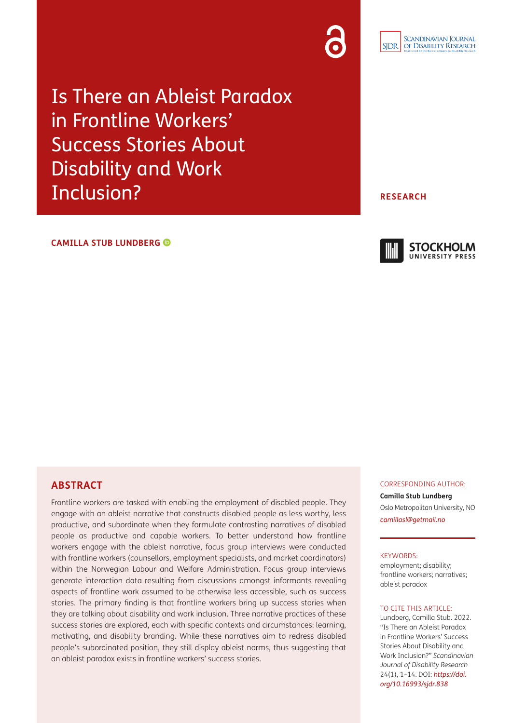

Is There an Ableist Paradox in Frontline Workers' Success Stories About Disability and Work Inclusion?

### **CAMILLA STUB LUNDBERG**

### **RESEARCH**



# **ABSTRACT**

Frontline workers are tasked with enabling the employment of disabled people. They engage with an ableist narrative that constructs disabled people as less worthy, less productive, and subordinate when they formulate contrasting narratives of disabled people as productive and capable workers. To better understand how frontline workers engage with the ableist narrative, focus group interviews were conducted with frontline workers (counsellors, employment specialists, and market coordinators) within the Norwegian Labour and Welfare Administration. Focus group interviews generate interaction data resulting from discussions amongst informants revealing aspects of frontline work assumed to be otherwise less accessible, such as success stories. The primary finding is that frontline workers bring up success stories when they are talking about disability and work inclusion. Three narrative practices of these success stories are explored, each with specific contexts and circumstances: learning, motivating, and disability branding. While these narratives aim to redress disabled people's subordinated position, they still display ableist norms, thus suggesting that an ableist paradox exists in frontline workers' success stories.

#### CORRESPONDING AUTHOR:

**Camilla Stub Lundberg** Oslo Metropolitan University, NO *[camillasl@getmail.no](mailto:camillasl@getmail.no)*

#### KEYWORDS:

employment; disability; frontline workers; narratives; ableist paradox

### TO CITE THIS ARTICLE:

Lundberg, Camilla Stub. 2022. "Is There an Ableist Paradox in Frontline Workers' Success Stories About Disability and Work Inclusion?" *Scandinavian Journal of Disability Research* 24(1), 1–14. DOI: *[https://doi.](https://doi.org/10.16993/sjdr.838) [org/10.16993/sjdr.838](https://doi.org/10.16993/sjdr.838)*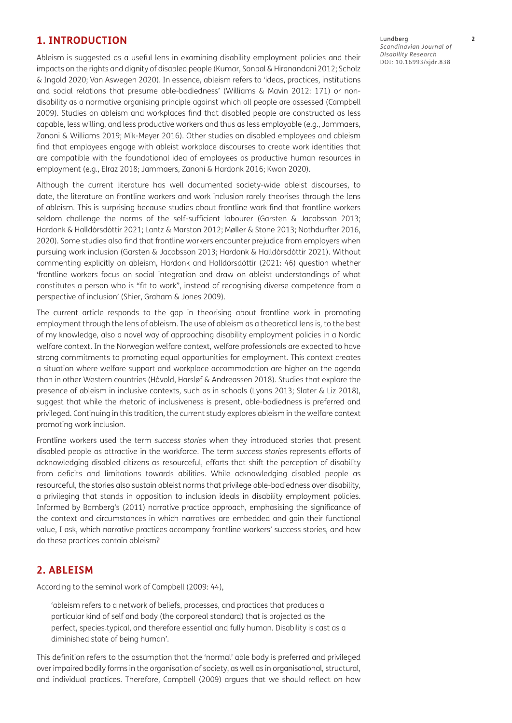# **1. INTRODUCTION**

Ableism is suggested as a useful lens in examining disability employment policies and their impacts on the rights and dignity of disabled people [\(Kumar, Sonpal & Hiranandani 2012](#page-12-0); Scholz & Ingold 2020; [Van Aswegen 2020\)](#page-12-0). In essence, ableism refers to 'ideas, practices, institutions and social relations that presume able-bodiedness' ([Williams & Mavin 2012: 171](#page-12-0)) or nondisability as a normative organising principle against which all people are assessed ([Campbell](#page-11-0)  [2009](#page-11-0)). Studies on ableism and workplaces find that disabled people are constructed as less capable, less willing, and less productive workers and thus as less employable (e.g., [Jammaers,](#page-11-0)  [Zanoni & Williams 2019](#page-11-0); [Mik-Meyer 2016\)](#page-12-0). Other studies on disabled employees and ableism find that employees engage with ableist workplace discourses to create work identities that are compatible with the foundational idea of employees as productive human resources in employment (e.g., [Elraz 2018](#page-11-0); [Jammaers, Zanoni & Hardonk 2016](#page-11-0); [Kwon 2020](#page-12-0)).

Although the current literature has well documented society-wide ableist discourses, to date, the literature on frontline workers and work inclusion rarely theorises through the lens of ableism. This is surprising because studies about frontline work find that frontline workers seldom challenge the norms of the self-sufficient labourer [\(Garsten & Jacobsson 2013](#page-11-0); [Hardonk & Halldórsdóttir 2021;](#page-11-0) [Lantz & Marston 2012](#page-12-0); [Møller & Stone 2013; Nothdurfter 2016,](#page-12-0)  [2020](#page-12-0)). Some studies also find that frontline workers encounter prejudice from employers when pursuing work inclusion [\(Garsten & Jacobsson 2013;](#page-11-0) [Hardonk & Halldórsdóttir 2021](#page-11-0)). Without commenting explicitly on ableism, Hardonk and Halldórsdóttir ([2021: 46](#page-11-0)) question whether 'frontline workers focus on social integration and draw on ableist understandings of what constitutes a person who is "fit to work", instead of recognising diverse competence from a perspective of inclusion' ([Shier, Graham & Jones 2009](#page-12-0)).

The current article responds to the gap in theorising about frontline work in promoting employment through the lens of ableism. The use of ableism as a theoretical lens is, to the best of my knowledge, also a novel way of approaching disability employment policies in a Nordic welfare context. In the Norwegian welfare context, welfare professionals are expected to have strong commitments to promoting equal opportunities for employment. This context creates a situation where welfare support and workplace accommodation are higher on the agenda than in other Western countries [\(Håvold, Harsløf & Andreassen 2018](#page-11-0)). Studies that explore the presence of ableism in inclusive contexts, such as in schools [\(Lyons 2013](#page-12-0); [Slater & Liz 2018](#page-12-0)), suggest that while the rhetoric of inclusiveness is present, able-bodiedness is preferred and privileged. Continuing in this tradition, the current study explores ableism in the welfare context promoting work inclusion.

Frontline workers used the term *success stories* when they introduced stories that present disabled people as attractive in the workforce. The term *success stories* represents efforts of acknowledging disabled citizens as resourceful, efforts that shift the perception of disability from deficits and limitations towards abilities. While acknowledging disabled people as resourceful, the stories also sustain ableist norms that privilege able-bodiedness over disability, a privileging that stands in opposition to inclusion ideals in disability employment policies. Informed by Bamberg's [\(2011](#page-11-0)) narrative practice approach, emphasising the significance of the context and circumstances in which narratives are embedded and gain their functional value, I ask, which narrative practices accompany frontline workers' success stories, and how do these practices contain ableism?

# **2. ABLEISM**

According to the seminal work of Campbell ([2009](#page-11-0): 44),

'ableism refers to a network of beliefs, processes, and practices that produces a particular kind of self and body (the corporeal standard) that is projected as the perfect, species‐typical, and therefore essential and fully human. Disability is cast as a diminished state of being human'.

This definition refers to the assumption that the 'normal' able body is preferred and privileged over impaired bodily forms in the organisation of society, as well as in organisational, structural, and individual practices. Therefore, Campbell [\(2009\)](#page-11-0) argues that we should reflect on how Lundberg **2** *Scandinavian Journal of Disability Research* DOI: [10.16993/sjdr.838](https://doi.org/10.16993/sjdr.838)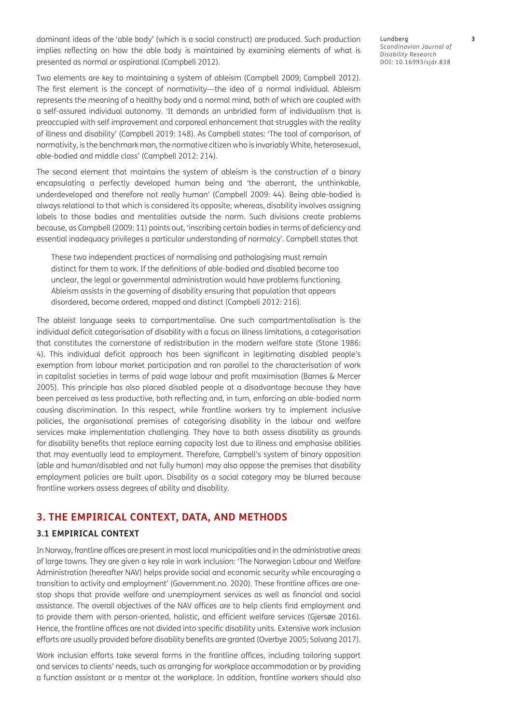dominant ideas of the 'able body' (which is a social construct) are produced. Such production implies reflecting on how the able body is maintained by examining elements of what is presented as normal or aspirational [\(Campbell 2012\)](#page-11-0).

Two elements are key to maintaining a system of ableism ([Campbell 2009; Campbell 2012](#page-11-0)). The first element is the concept of normativity—the idea of a normal individual. Ableism represents the meaning of a healthy body and a normal mind, both of which are coupled with a self-assured individual autonomy. 'It demands an unbridled form of individualism that is preoccupied with self‐improvement and corporeal enhancement that struggles with the reality of illness and disability' [\(Campbell 2019: 148](#page-11-0)). As Campbell states: 'The tool of comparison, of normativity, is the benchmark man, the normative citizen who is invariably White, heterosexual, able-bodied and middle class' ([Campbell 2012: 214](#page-11-0)).

The second element that maintains the system of ableism is the construction of a binary encapsulating a perfectly developed human being and 'the aberrant, the unthinkable, underdeveloped and therefore not really human' [\(Campbell 2009: 44\)](#page-11-0). Being able-bodied is always relational to that which is considered its opposite; whereas, disability involves assigning labels to those bodies and mentalities outside the norm. Such divisions create problems because, as Campbell [\(2009: 11](#page-11-0)) points out, 'inscribing certain bodies in terms of deficiency and essential inadequacy privileges a particular understanding of normalcy'. Campbell states that

These two independent practices of normalising and pathologising must remain distinct for them to work. If the definitions of able-bodied and disabled become too unclear, the legal or governmental administration would have problems functioning. Ableism assists in the governing of disability ensuring that population that appears disordered, become ordered, mapped and distinct [\(Campbell 2012: 216](#page-11-0)).

The ableist language seeks to compartmentalise. One such compartmentalisation is the individual deficit categorisation of disability with a focus on illness limitations, a categorisation that constitutes the cornerstone of redistribution in the modern welfare state [\(Stone 1986:](#page-12-0)  [4\)](#page-12-0). This individual deficit approach has been significant in legitimating disabled people's exemption from labour market participation and ran parallel to the characterisation of work in capitalist societies in terms of paid wage labour and profit maximisation [\(Barnes & Mercer](#page-11-0)  [2005](#page-11-0)). This principle has also placed disabled people at a disadvantage because they have been perceived as less productive, both reflecting and, in turn, enforcing an able-bodied norm causing discrimination. In this respect, while frontline workers try to implement inclusive policies, the organisational premises of categorising disability in the labour and welfare services make implementation challenging. They have to both assess disability as grounds for disability benefits that replace earning capacity lost due to illness and emphasise abilities that may eventually lead to employment. Therefore, Campbell's system of binary opposition (able and human/disabled and not fully human) may also oppose the premises that disability employment policies are built upon. Disability as a social category may be blurred because frontline workers assess degrees of ability and disability.

## **3. THE EMPIRICAL CONTEXT, DATA, AND METHODS**

### **3.1 EMPIRICAL CONTEXT**

In Norway, frontline offices are present in most local municipalities and in the administrative areas of large towns. They are given a key role in work inclusion: 'The Norwegian Labour and Welfare Administration (hereafter NAV) helps provide social and economic security while encouraging a transition to activity and employment' [\(Government.no. 2020](#page-11-0)). These frontline offices are onestop shops that provide welfare and unemployment services as well as financial and social assistance. The overall objectives of the NAV offices are to help clients find employment and to provide them with person-oriented, holistic, and efficient welfare services ([Gjersøe 2016](#page-11-0)). Hence, the frontline offices are not divided into specific disability units. Extensive work inclusion efforts are usually provided before disability benefits are granted [\(Overbye 2005;](#page-12-0) [Solvang 2017](#page-12-0)).

Work inclusion efforts take several forms in the frontline offices, including tailoring support and services to clients' needs, such as arranging for workplace accommodation or by providing a function assistant or a mentor at the workplace. In addition, frontline workers should also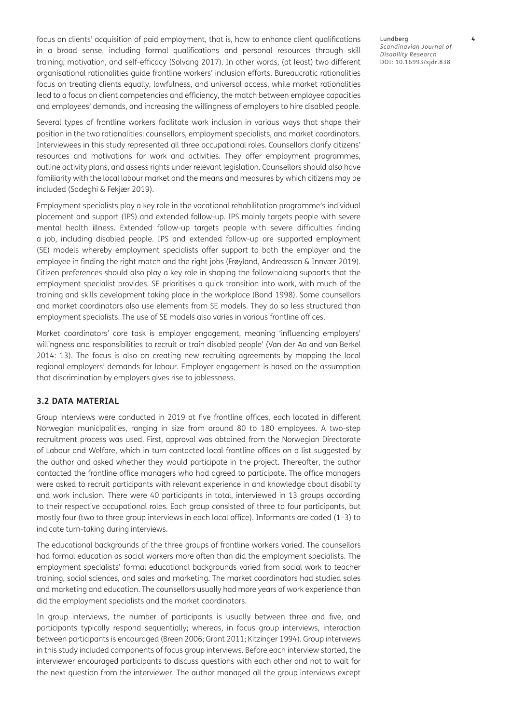focus on clients' acquisition of paid employment, that is, how to enhance client qualifications in a broad sense, including formal qualifications and personal resources through skill training, motivation, and self-efficacy ([Solvang 2017\)](#page-12-0). In other words, (at least) two different organisational rationalities guide frontline workers' inclusion efforts. Bureaucratic rationalities focus on treating clients equally, lawfulness, and universal access, while market rationalities lead to a focus on client competencies and efficiency, the match between employee capacities and employees' demands, and increasing the willingness of employers to hire disabled people.

Several types of frontline workers facilitate work inclusion in various ways that shape their position in the two rationalities: counsellors, employment specialists, and market coordinators. Interviewees in this study represented all three occupational roles. Counsellors clarify citizens' resources and motivations for work and activities. They offer employment programmes, outline activity plans, and assess rights under relevant legislation. Counsellors should also have familiarity with the local labour market and the means and measures by which citizens may be included [\(Sadeghi & Fekjær 2019](#page-12-0)).

Employment specialists play a key role in the vocational rehabilitation programme's individual placement and support (IPS) and extended follow-up. IPS mainly targets people with severe mental health illness. Extended follow-up targets people with severe difficulties finding a job, including disabled people. IPS and extended follow-up are supported employment (SE) models whereby employment specialists offer support to both the employer and the employee in finding the right match and the right jobs ([Frøyland, Andreassen & Innvær 2019](#page-11-0)). Citizen preferences should also play a key role in shaping the follow□along supports that the employment specialist provides. SE prioritises a quick transition into work, with much of the training and skills development taking place in the workplace (Bond 1998). Some counsellors and market coordinators also use elements from SE models. They do so less structured than employment specialists. The use of SE models also varies in various frontline offices.

Market coordinators' core task is employer engagement, meaning 'influencing employers' willingness and responsibilities to recruit or train disabled people' [\(Van der Aa and van Berkel](#page-12-0)  [2014: 13\)](#page-12-0). The focus is also on creating new recruiting agreements by mapping the local regional employers' demands for labour. Employer engagement is based on the assumption that discrimination by employers gives rise to joblessness.

### **3.2 DATA MATERIAL**

Group interviews were conducted in 2019 at five frontline offices, each located in different Norwegian municipalities, ranging in size from around 80 to 180 employees. A two-step recruitment process was used. First, approval was obtained from the Norwegian Directorate of Labour and Welfare, which in turn contacted local frontline offices on a list suggested by the author and asked whether they would participate in the project. Thereafter, the author contacted the frontline office managers who had agreed to participate. The office managers were asked to recruit participants with relevant experience in and knowledge about disability and work inclusion. There were 40 participants in total, interviewed in 13 groups according to their respective occupational roles. Each group consisted of three to four participants, but mostly four (two to three group interviews in each local office). Informants are coded (1–3) to indicate turn-taking during interviews.

The educational backgrounds of the three groups of frontline workers varied. The counsellors had formal education as social workers more often than did the employment specialists. The employment specialists' formal educational backgrounds varied from social work to teacher training, social sciences, and sales and marketing. The market coordinators had studied sales and marketing and education. The counsellors usually had more years of work experience than did the employment specialists and the market coordinators.

In group interviews, the number of participants is usually between three and five, and participants typically respond sequentially; whereas, in focus group interviews, interaction between participants is encouraged ([Breen 2006](#page-11-0); [Grant 2011](#page-11-0); [Kitzinger 1994\)](#page-12-0). Group interviews in this study included components of focus group interviews. Before each interview started, the interviewer encouraged participants to discuss questions with each other and not to wait for the next question from the interviewer. The author managed all the group interviews except

Lundberg **4** *Scandinavian Journal of Disability Research* DOI: [10.16993/sjdr.838](https://doi.org/10.16993/sjdr.838)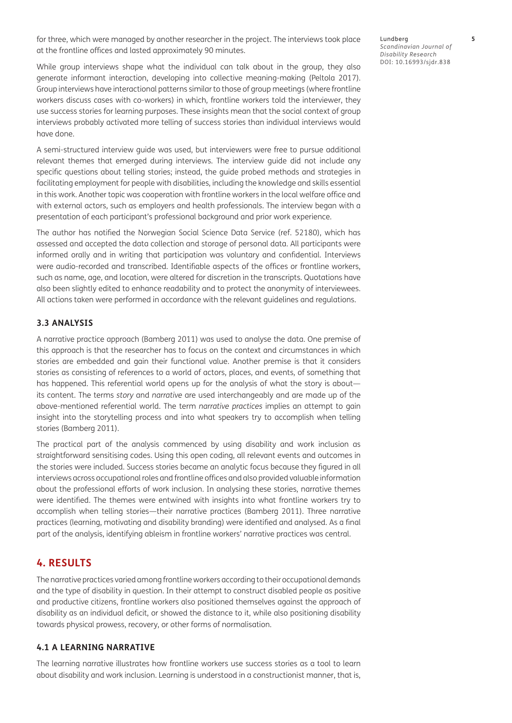for three, which were managed by another researcher in the project. The interviews took place at the frontline offices and lasted approximately 90 minutes.

While group interviews shape what the individual can talk about in the group, they also generate informant interaction, developing into collective meaning-making [\(Peltola 2017](#page-12-0)). Group interviews have interactional patterns similar to those of group meetings (where frontline workers discuss cases with co-workers) in which, frontline workers told the interviewer, they use success stories for learning purposes. These insights mean that the social context of group interviews probably activated more telling of success stories than individual interviews would have done.

A semi-structured interview guide was used, but interviewers were free to pursue additional relevant themes that emerged during interviews. The interview guide did not include any specific questions about telling stories; instead, the guide probed methods and strategies in facilitating employment for people with disabilities, including the knowledge and skills essential in this work. Another topic was cooperation with frontline workers in the local welfare office and with external actors, such as employers and health professionals. The interview began with a presentation of each participant's professional background and prior work experience.

The author has notified the Norwegian Social Science Data Service (ref. 52180), which has assessed and accepted the data collection and storage of personal data. All participants were informed orally and in writing that participation was voluntary and confidential. Interviews were audio-recorded and transcribed. Identifiable aspects of the offices or frontline workers, such as name, age, and location, were altered for discretion in the transcripts. Quotations have also been slightly edited to enhance readability and to protect the anonymity of interviewees. All actions taken were performed in accordance with the relevant guidelines and regulations.

### **3.3 ANALYSIS**

A narrative practice approach ([Bamberg 2011](#page-11-0)) was used to analyse the data. One premise of this approach is that the researcher has to focus on the context and circumstances in which stories are embedded and gain their functional value. Another premise is that it considers stories as consisting of references to a world of actors, places, and events, of something that has happened. This referential world opens up for the analysis of what the story is about its content. The terms *story* and *narrative* are used interchangeably and are made up of the above-mentioned referential world. The term *narrative practices* implies an attempt to gain insight into the storytelling process and into what speakers try to accomplish when telling stories [\(Bamberg 2011](#page-11-0)).

The practical part of the analysis commenced by using disability and work inclusion as straightforward sensitising codes. Using this open coding, all relevant events and outcomes in the stories were included. Success stories became an analytic focus because they figured in all interviews across occupational roles and frontline offices and also provided valuable information about the professional efforts of work inclusion. In analysing these stories, narrative themes were identified. The themes were entwined with insights into what frontline workers try to accomplish when telling stories—their narrative practices [\(Bamberg 2011](#page-11-0)). Three narrative practices (learning, motivating and disability branding) were identified and analysed. As a final part of the analysis, identifying ableism in frontline workers' narrative practices was central.

### **4. RESULTS**

The narrative practices varied among frontline workers according to their occupational demands and the type of disability in question. In their attempt to construct disabled people as positive and productive citizens, frontline workers also positioned themselves against the approach of disability as an individual deficit, or showed the distance to it, while also positioning disability towards physical prowess, recovery, or other forms of normalisation.

### **4.1 A LEARNING NARRATIVE**

The learning narrative illustrates how frontline workers use success stories as a tool to learn about disability and work inclusion. Learning is understood in a constructionist manner, that is,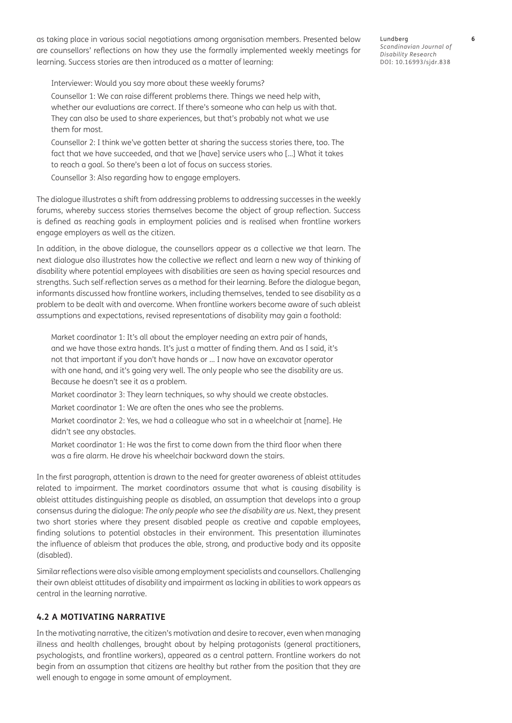as taking place in various social negotiations among organisation members. Presented below are counsellors' reflections on how they use the formally implemented weekly meetings for learning. Success stories are then introduced as a matter of learning:

Interviewer: Would you say more about these weekly forums?

Counsellor 1: We can raise different problems there. Things we need help with, whether our evaluations are correct. If there's someone who can help us with that. They can also be used to share experiences, but that's probably not what we use them for most.

Counsellor 2: I think we've gotten better at sharing the success stories there, too. The fact that we have succeeded, and that we [have] service users who […] What it takes to reach a goal. So there's been a lot of focus on success stories.

Counsellor 3: Also regarding how to engage employers.

The dialogue illustrates a shift from addressing problems to addressing successes in the weekly forums, whereby success stories themselves become the object of group reflection. Success is defined as reaching goals in employment policies and is realised when frontline workers engage employers as well as the citizen.

In addition, in the above dialogue, the counsellors appear as a collective *we* that learn. The next dialogue also illustrates how the collective *we* reflect and learn a new way of thinking of disability where potential employees with disabilities are seen as having special resources and strengths. Such self-reflection serves as a method for their learning. Before the dialogue began, informants discussed how frontline workers, including themselves, tended to see disability as a problem to be dealt with and overcome. When frontline workers become aware of such ableist assumptions and expectations, revised representations of disability may gain a foothold:

Market coordinator 1: It's all about the employer needing an extra pair of hands, and we have those extra hands. It's just a matter of finding them. And as I said, it's not that important if you don't have hands or … I now have an excavator operator with one hand, and it's going very well. The only people who see the disability are us. Because he doesn't see it as a problem.

Market coordinator 3: They learn techniques, so why should we create obstacles.

Market coordinator 1: We are often the ones who see the problems.

Market coordinator 2: Yes, we had a colleague who sat in a wheelchair at [name]. He didn't see any obstacles.

Market coordinator 1: He was the first to come down from the third floor when there was a fire alarm. He drove his wheelchair backward down the stairs.

In the first paragraph, attention is drawn to the need for greater awareness of ableist attitudes related to impairment. The market coordinators assume that what is causing disability is ableist attitudes distinguishing people as disabled, an assumption that develops into a group consensus during the dialogue: *The only people who see the disability are us.* Next, they present two short stories where they present disabled people as creative and capable employees, finding solutions to potential obstacles in their environment. This presentation illuminates the influence of ableism that produces the able, strong, and productive body and its opposite (disabled).

Similar reflections were also visible among employment specialists and counsellors. Challenging their own ableist attitudes of disability and impairment as lacking in abilities to work appears as central in the learning narrative.

### **4.2 A MOTIVATING NARRATIVE**

In the motivating narrative, the citizen's motivation and desire to recover, even when managing illness and health challenges, brought about by helping protagonists (general practitioners, psychologists, and frontline workers), appeared as a central pattern. Frontline workers do not begin from an assumption that citizens are healthy but rather from the position that they are well enough to engage in some amount of employment.

Lundberg **6** *Scandinavian Journal of Disability Research* DOI: [10.16993/sjdr.838](https://doi.org/10.16993/sjdr.838)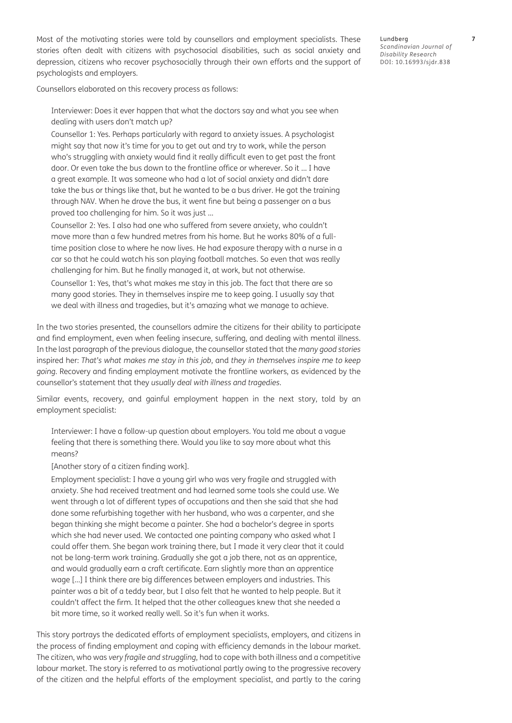Most of the motivating stories were told by counsellors and employment specialists. These stories often dealt with citizens with psychosocial disabilities, such as social anxiety and depression, citizens who recover psychosocially through their own efforts and the support of psychologists and employers.

Counsellors elaborated on this recovery process as follows:

Interviewer: Does it ever happen that what the doctors say and what you see when dealing with users don't match up?

Counsellor 1: Yes. Perhaps particularly with regard to anxiety issues. A psychologist might say that now it's time for you to get out and try to work, while the person who's struggling with anxiety would find it really difficult even to get past the front door. Or even take the bus down to the frontline office or wherever. So it … I have a great example. It was someone who had a lot of social anxiety and didn't dare take the bus or things like that, but he wanted to be a bus driver. He got the training through NAV. When he drove the bus, it went fine but being a passenger on a bus proved too challenging for him. So it was just …

Counsellor 2: Yes. I also had one who suffered from severe anxiety, who couldn't move more than a few hundred metres from his home. But he works 80% of a fulltime position close to where he now lives. He had exposure therapy with a nurse in a car so that he could watch his son playing football matches. So even that was really challenging for him. But he finally managed it, at work, but not otherwise.

Counsellor 1: Yes, that's what makes me stay in this job. The fact that there are so many good stories. They in themselves inspire me to keep going. I usually say that we deal with illness and tragedies, but it's amazing what we manage to achieve.

In the two stories presented, the counsellors admire the citizens for their ability to participate and find employment, even when feeling insecure, suffering, and dealing with mental illness. In the last paragraph of the previous dialogue, the counsellor stated that the *many good stories* inspired her: *That's what makes me stay in this job*, and *they in themselves inspire me to keep going*. Recovery and finding employment motivate the frontline workers, as evidenced by the counsellor's statement that they *usually deal with illness and tragedies*.

Similar events, recovery, and gainful employment happen in the next story, told by an employment specialist:

Interviewer: I have a follow-up question about employers. You told me about a vague feeling that there is something there. Would you like to say more about what this means?

[Another story of a citizen finding work].

Employment specialist: I have a young girl who was very fragile and struggled with anxiety. She had received treatment and had learned some tools she could use. We went through a lot of different types of occupations and then she said that she had done some refurbishing together with her husband, who was a carpenter, and she began thinking she might become a painter. She had a bachelor's degree in sports which she had never used. We contacted one painting company who asked what I could offer them. She began work training there, but I made it very clear that it could not be long-term work training. Gradually she got a job there, not as an apprentice, and would gradually earn a craft certificate. Earn slightly more than an apprentice wage […] I think there are big differences between employers and industries. This painter was a bit of a teddy bear, but I also felt that he wanted to help people. But it couldn't affect the firm. It helped that the other colleagues knew that she needed a bit more time, so it worked really well. So it's fun when it works.

This story portrays the dedicated efforts of employment specialists, employers, and citizens in the process of finding employment and coping with efficiency demands in the labour market. The citizen, who was *very fragile and struggling*, had to cope with both illness and a competitive labour market. The story is referred to as motivational partly owing to the progressive recovery of the citizen and the helpful efforts of the employment specialist, and partly to the caring

Lundberg **7** *Scandinavian Journal of Disability Research* DOI: [10.16993/sjdr.838](https://doi.org/10.16993/sjdr.838)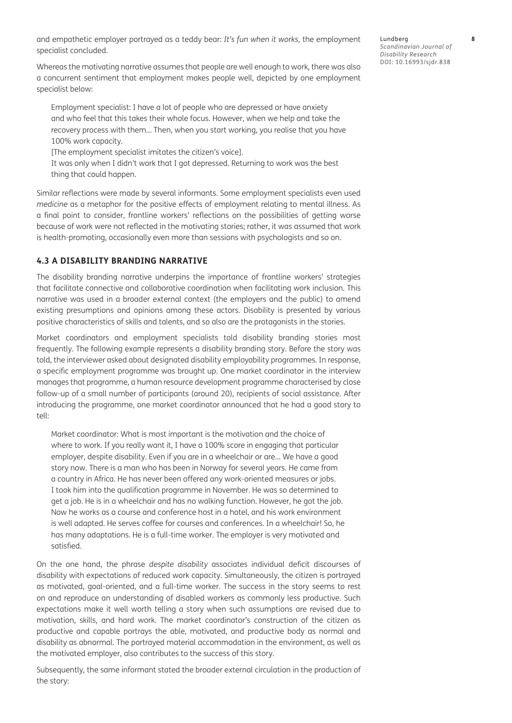and empathetic employer portrayed as a teddy bear: *It's fun when it works*, the employment specialist concluded.

Whereas the motivating narrative assumes that people are well enough to work, there was also a concurrent sentiment that employment makes people well, depicted by one employment specialist below:

Employment specialist: I have a lot of people who are depressed or have anxiety and who feel that this takes their whole focus. However, when we help and take the recovery process with them… Then, when you start working, you realise that you have 100% work capacity.

[The employment specialist imitates the citizen's voice].

It was only when I didn't work that I got depressed. Returning to work was the best thing that could happen.

Similar reflections were made by several informants. Some employment specialists even used *medicine* as a metaphor for the positive effects of employment relating to mental illness. As a final point to consider, frontline workers' reflections on the possibilities of getting worse because of work were not reflected in the motivating stories; rather, it was assumed that work is health-promoting, occasionally even more than sessions with psychologists and so on.

## **4.3 A DISABILITY BRANDING NARRATIVE**

The disability branding narrative underpins the importance of frontline workers' strategies that facilitate connective and collaborative coordination when facilitating work inclusion. This narrative was used in a broader external context (the employers and the public) to amend existing presumptions and opinions among these actors. Disability is presented by various positive characteristics of skills and talents, and so also are the protagonists in the stories.

Market coordinators and employment specialists told disability branding stories most frequently. The following example represents a disability branding story. Before the story was told, the interviewer asked about designated disability employability programmes. In response, a specific employment programme was brought up. One market coordinator in the interview manages that programme, a human resource development programme characterised by close follow-up of a small number of participants (around 20), recipients of social assistance. After introducing the programme, one market coordinator announced that he had a good story to tell:

Market coordinator: What is most important is the motivation and the choice of where to work. If you really want it, I have a 100% score in engaging that particular employer, despite disability. Even if you are in a wheelchair or are… We have a good story now. There is a man who has been in Norway for several years. He came from a country in Africa. He has never been offered any work-oriented measures or jobs. I took him into the qualification programme in November. He was so determined to get a job. He is in a wheelchair and has no walking function. However, he got the job. Now he works as a course and conference host in a hotel, and his work environment is well adapted. He serves coffee for courses and conferences. In a wheelchair! So, he has many adaptations. He is a full-time worker. The employer is very motivated and satisfied.

On the one hand, the phrase *despite disability* associates individual deficit discourses of disability with expectations of reduced work capacity. Simultaneously, the citizen is portrayed as motivated, goal-oriented, and a full-time worker. The success in the story seems to rest on and reproduce an understanding of disabled workers as commonly less productive. Such expectations make it well worth telling a story when such assumptions are revised due to motivation, skills, and hard work. The market coordinator's construction of the citizen as productive and capable portrays the able, motivated, and productive body as normal and disability as abnormal. The portrayed material accommodation in the environment, as well as the motivated employer, also contributes to the success of this story.

Subsequently, the same informant stated the broader external circulation in the production of the story:

Lundberg **8** *Scandinavian Journal of Disability Research* DOI: [10.16993/sjdr.838](https://doi.org/10.16993/sjdr.838)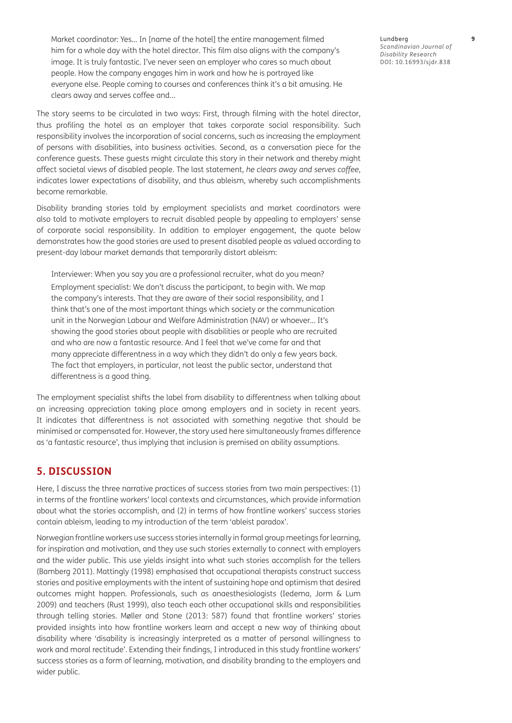Market coordinator: Yes… In [name of the hotel] the entire management filmed him for a whole day with the hotel director. This film also aligns with the company's image. It is truly fantastic. I've never seen an employer who cares so much about people. How the company engages him in work and how he is portrayed like everyone else. People coming to courses and conferences think it's a bit amusing. He clears away and serves coffee and…

The story seems to be circulated in two ways: First, through filming with the hotel director, thus profiling the hotel as an employer that takes corporate social responsibility. Such responsibility involves the incorporation of social concerns, such as increasing the employment of persons with disabilities, into business activities. Second, as a conversation piece for the conference guests. These guests might circulate this story in their network and thereby might affect societal views of disabled people. The last statement, *he clears away and serves coffee*, indicates lower expectations of disability, and thus ableism, whereby such accomplishments become remarkable.

Disability branding stories told by employment specialists and market coordinators were also told to motivate employers to recruit disabled people by appealing to employers' sense of corporate social responsibility. In addition to employer engagement, the quote below demonstrates how the good stories are used to present disabled people as valued according to present-day labour market demands that temporarily distort ableism:

Interviewer: When you say you are a professional recruiter, what do you mean? Employment specialist: We don't discuss the participant, to begin with. We map the company's interests. That they are aware of their social responsibility, and I think that's one of the most important things which society or the communication unit in the Norwegian Labour and Welfare Administration (NAV) or whoever… It's showing the good stories about people with disabilities or people who are recruited and who are now a fantastic resource. And I feel that we've come far and that many appreciate differentness in a way which they didn't do only a few years back. The fact that employers, in particular, not least the public sector, understand that differentness is a good thing.

The employment specialist shifts the label from disability to differentness when talking about an increasing appreciation taking place among employers and in society in recent years. It indicates that differentness is not associated with something negative that should be minimised or compensated for. However, the story used here simultaneously frames difference as 'a fantastic resource', thus implying that inclusion is premised on ability assumptions.

# **5. DISCUSSION**

Here, I discuss the three narrative practices of success stories from two main perspectives: (1) in terms of the frontline workers' local contexts and circumstances, which provide information about what the stories accomplish, and (2) in terms of how frontline workers' success stories contain ableism, leading to my introduction of the term 'ableist paradox'.

Norwegian frontline workers use success stories internally in formal group meetings for learning, for inspiration and motivation, and they use such stories externally to connect with employers and the wider public. This use yields insight into what such stories accomplish for the tellers [\(Bamberg 2011\)](#page-11-0). Mattingly [\(1998](#page-12-0)) emphasised that occupational therapists construct success stories and positive employments with the intent of sustaining hope and optimism that desired outcomes might happen. Professionals, such as anaesthesiologists ([Iedema, Jorm & Lum](#page-11-0)  [2009](#page-11-0)) and teachers [\(Rust 1999](#page-12-0)), also teach each other occupational skills and responsibilities through telling stories. Møller and Stone [\(2013: 587\)](#page-12-0) found that frontline workers' stories provided insights into how frontline workers learn and accept a new way of thinking about disability where 'disability is increasingly interpreted as a matter of personal willingness to work and moral rectitude'. Extending their findings, I introduced in this study frontline workers' success stories as a form of learning, motivation, and disability branding to the employers and wider public.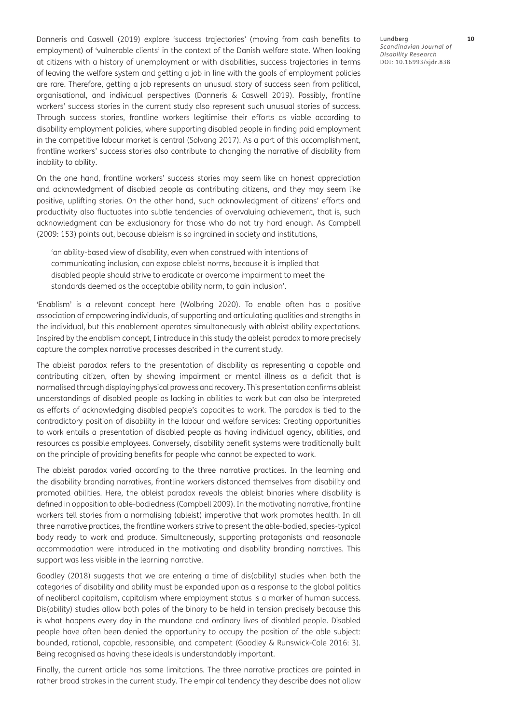Danneris and Caswell ([2019](#page-11-0)) explore 'success trajectories' (moving from cash benefits to employment) of 'vulnerable clients' in the context of the Danish welfare state. When looking at citizens with a history of unemployment or with disabilities, success trajectories in terms of leaving the welfare system and getting a job in line with the goals of employment policies are rare. Therefore, getting a job represents an unusual story of success seen from political, organisational, and individual perspectives [\(Danneris & Caswell 2019\)](#page-11-0). Possibly, frontline workers' success stories in the current study also represent such unusual stories of success. Through success stories, frontline workers legitimise their efforts as viable according to disability employment policies, where supporting disabled people in finding paid employment in the competitive labour market is central [\(Solvang 2017](#page-12-0)). As a part of this accomplishment, frontline workers' success stories also contribute to changing the narrative of disability from inability to ability.

On the one hand, frontline workers' success stories may seem like an honest appreciation and acknowledgment of disabled people as contributing citizens, and they may seem like positive, uplifting stories. On the other hand, such acknowledgment of citizens' efforts and productivity also fluctuates into subtle tendencies of overvaluing achievement, that is, such acknowledgment can be exclusionary for those who do not try hard enough. As Campbell [\(2009: 153](#page-11-0)) points out, because ableism is so ingrained in society and institutions,

'an ability-based view of disability, even when construed with intentions of communicating inclusion, can expose ableist norms, because it is implied that disabled people should strive to eradicate or overcome impairment to meet the standards deemed as the acceptable ability norm, to gain inclusion'.

'Enablism' is a relevant concept here [\(Wolbring 2020](#page-12-0)). To enable often has a positive association of empowering individuals, of supporting and articulating qualities and strengths in the individual, but this enablement operates simultaneously with ableist ability expectations. Inspired by the enablism concept, I introduce in this study the ableist paradox to more precisely capture the complex narrative processes described in the current study.

The ableist paradox refers to the presentation of disability as representing a capable and contributing citizen, often by showing impairment or mental illness as a deficit that is normalised through displaying physical prowess and recovery. This presentation confirms ableist understandings of disabled people as lacking in abilities to work but can also be interpreted as efforts of acknowledging disabled people's capacities to work. The paradox is tied to the contradictory position of disability in the labour and welfare services: Creating opportunities to work entails a presentation of disabled people as having individual agency, abilities, and resources as possible employees. Conversely, disability benefit systems were traditionally built on the principle of providing benefits for people who cannot be expected to work.

The ableist paradox varied according to the three narrative practices. In the learning and the disability branding narratives, frontline workers distanced themselves from disability and promoted abilities. Here, the ableist paradox reveals the ableist binaries where disability is defined in opposition to able-bodiedness [\(Campbell 2009](#page-11-0)). In the motivating narrative, frontline workers tell stories from a normalising (ableist) imperative that work promotes health. In all three narrative practices, the frontline workers strive to present the able-bodied, species-typical body ready to work and produce. Simultaneously, supporting protagonists and reasonable accommodation were introduced in the motivating and disability branding narratives. This support was less visible in the learning narrative.

Goodley ([2018](#page-11-0)) suggests that we are entering a time of dis(ability) studies when both the categories of disability and ability must be expanded upon as a response to the global politics of neoliberal capitalism, capitalism where employment status is a marker of human success. Dis(ability) studies allow both poles of the binary to be held in tension precisely because this is what happens every day in the mundane and ordinary lives of disabled people. Disabled people have often been denied the opportunity to occupy the position of the able subject: bounded, rational, capable, responsible, and competent ([Goodley & Runswick-Cole 2016: 3](#page-11-0)). Being recognised as having these ideals is understandably important.

Finally, the current article has some limitations. The three narrative practices are painted in rather broad strokes in the current study. The empirical tendency they describe does not allow

Lundberg **10** *Scandinavian Journal of Disability Research* DOI: [10.16993/sjdr.838](https://doi.org/10.16993/sjdr.838)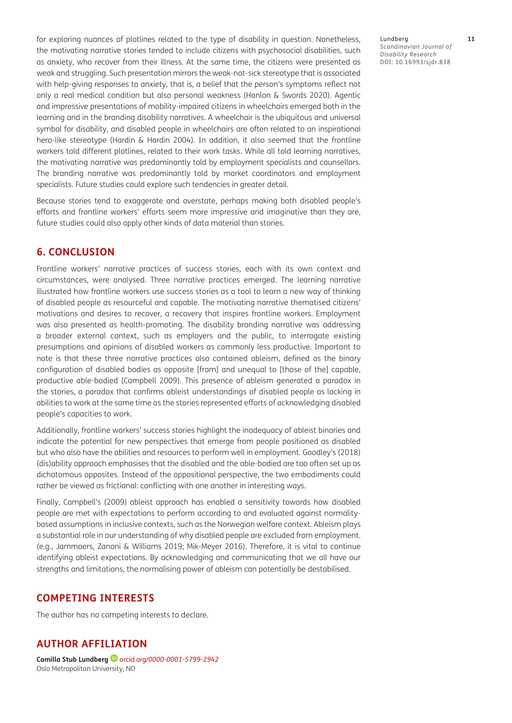for exploring nuances of plotlines related to the type of disability in question. Nonetheless, the motivating narrative stories tended to include citizens with psychosocial disabilities, such as anxiety, who recover from their illness. At the same time, the citizens were presented as weak and struggling. Such presentation mirrors the weak-not-sick stereotype that is associated with help-giving responses to anxiety, that is, a belief that the person's symptoms reflect not only a real medical condition but also personal weakness [\(Hanlon & Swords 2020\)](#page-11-0). Agentic and impressive presentations of mobility-impaired citizens in wheelchairs emerged both in the learning and in the branding disability narratives. A wheelchair is the ubiquitous and universal symbol for disability, and disabled people in wheelchairs are often related to an inspirational hero-like stereotype ([Hardin & Hardin 2004](#page-11-0)). In addition, it also seemed that the frontline workers told different plotlines, related to their work tasks. While all told learning narratives, the motivating narrative was predominantly told by employment specialists and counsellors. The branding narrative was predominantly told by market coordinators and employment specialists. Future studies could explore such tendencies in greater detail.

Because stories tend to exaggerate and overstate, perhaps making both disabled people's efforts and frontline workers' efforts seem more impressive and imaginative than they are, future studies could also apply other kinds of data material than stories.

## **6. CONCLUSION**

Frontline workers' narrative practices of success stories, each with its own context and circumstances, were analysed. Three narrative practices emerged. The learning narrative illustrated how frontline workers use success stories as a tool to learn a new way of thinking of disabled people as resourceful and capable. The motivating narrative thematised citizens' motivations and desires to recover, a recovery that inspires frontline workers. Employment was also presented as health-promoting. The disability branding narrative was addressing a broader external context, such as employers and the public, to interrogate existing presumptions and opinions of disabled workers as commonly less productive. Important to note is that these three narrative practices also contained ableism, defined as the binary configuration of disabled bodies as opposite [from] and unequal to [those of the] capable, productive able-bodied ([Campbell 2009](#page-11-0)). This presence of ableism generated a paradox in the stories, a paradox that confirms ableist understandings of disabled people as lacking in abilities to work at the same time as the stories represented efforts of acknowledging disabled people's capacities to work.

Additionally, frontline workers' success stories highlight the inadequacy of ableist binaries and indicate the potential for new perspectives that emerge from people positioned as disabled but who also have the abilities and resources to perform well in employment. Goodley's ([2018\)](#page-11-0) (dis)ability approach emphasises that the disabled and the able-bodied are too often set up as dichotomous opposites. Instead of the oppositional perspective, the two embodiments could rather be viewed as frictional: conflicting with one another in interesting ways.

Finally, Campbell's [\(2009\)](#page-11-0) ableist approach has enabled a sensitivity towards how disabled people are met with expectations to perform according to and evaluated against normalitybased assumptions in inclusive contexts, such as the Norwegian welfare context. Ableism plays a substantial role in our understanding of why disabled people are excluded from employment. (e.g., [Jammaers, Zanoni & Williams 2019;](#page-11-0) [Mik-Meyer 2016](#page-12-0)). Therefore, it is vital to continue identifying ableist expectations. By acknowledging and communicating that we all have our strengths and limitations, the normalising power of ableism can potentially be destabilised.

# **COMPETING INTERESTS**

The author has no competing interests to declare.

# **AUTHOR AFFILIATION**

**Camilla Stub Lundberg***[orcid.org/0000-0001-5799-2942](https://orcid.org/0000-0001-5799-2942)* Oslo Metropolitan University, NO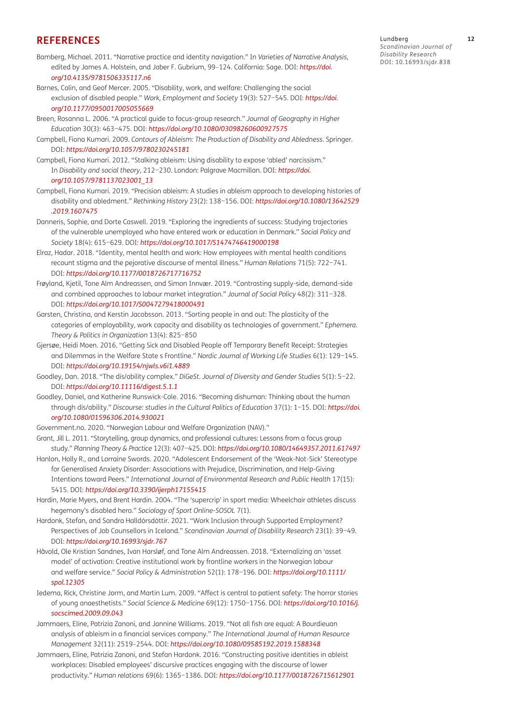### <span id="page-11-0"></span>**REFERENCES**

- Bamberg, Michael. 2011. "Narrative practice and identity navigation." In *Varieties of Narrative Analysis*, edited by James A. Holstein, and Jaber F. Gubrium, 99–124. California: Sage. DOI: *[https://doi.](https://doi.org/10.4135/9781506335117.n6) [org/10.4135/9781506335117.n6](https://doi.org/10.4135/9781506335117.n6)*
- Barnes, Colin, and Geof Mercer. 2005. "Disability, work, and welfare: Challenging the social exclusion of disabled people." *Work, Employment and Society* 19(3): 527−545. DOI: *[https://doi.](https://doi.org/10.1177/0950017005055669) [org/10.1177/0950017005055669](https://doi.org/10.1177/0950017005055669)*
- Breen, Rosanna L. 2006. "A practical guide to focus-group research." *Journal of Geography in Higher Education* 30(3): 463−475. DOI: *<https://doi.org/10.1080/03098260600927575>*
- Campbell, Fiona Kumari. 2009. *Contours of Ableism: The Production of Disability and Abledness*. Springer. DOI: *<https://doi.org/10.1057/9780230245181>*
- Campbell, Fiona Kumari. 2012. "Stalking ableism: Using disability to expose 'abled' narcissism." In *Disability and social theory*, 212−230. London: Palgrave Macmillan. DOI: *[https://doi.](https://doi.org/10.1057/9781137023001_13) [org/10.1057/9781137023001\\_13](https://doi.org/10.1057/9781137023001_13)*
- Campbell, Fiona Kumari. 2019. "Precision ableism: A studies in ableism approach to developing histories of disability and abledment." *Rethinking History* 23(2): 138−156. DOI: *[https://doi.org/10.1080/13642529](https://doi.org/10.1080/13642529.2019.1607475) [.2019.1607475](https://doi.org/10.1080/13642529.2019.1607475)*
- Danneris, Sophie, and Dorte Caswell. 2019. "Exploring the ingredients of success: Studying trajectories of the vulnerable unemployed who have entered work or education in Denmark." *Social Policy and Society* 18(4): 615−629. DOI: *<https://doi.org/10.1017/S1474746419000198>*
- Elraz, Hadar. 2018. "Identity, mental health and work: How employees with mental health conditions recount stigma and the pejorative discourse of mental illness." *Human Relations* 71(5): 722−741. DOI: *<https://doi.org/10.1177/0018726717716752>*
- Frøyland, Kjetil, Tone Alm Andreassen, and Simon Innvær. 2019. "Contrasting supply-side, demand-side and combined approaches to labour market integration." *Journal of Social Policy* 48(2): 311−328. DOI: *<https://doi.org/10.1017/S0047279418000491>*
- Garsten, Christina, and Kerstin Jacobsson. 2013. "Sorting people in and out: The plasticity of the categories of employability, work capacity and disability as technologies of government." *Ephemera. Theory & Politics in Organization* 13(4): 825−850
- Gjersøe, Heidi Moen. 2016. "Getting Sick and Disabled People off Temporary Benefit Receipt: Strategies and Dilemmas in the Welfare State s Frontline." *Nordic Journal of Working Life Studies* 6(1): 129−145. DOI: *<https://doi.org/10.19154/njwls.v6i1.4889>*
- Goodley, Dan. 2018. "The dis/ability complex." *DiGeSt. Journal of Diversity and Gender Studies* 5(1): 5−22. DOI: *<https://doi.org/10.11116/digest.5.1.1>*
- Goodley, Daniel, and Katherine Runswick-Cole. 2016. "Becoming dishuman: Thinking about the human through dis/ability." *Discourse: studies in the Cultural Politics of Education* 37(1): 1−15. DOI: *[https://doi.](https://doi.org/10.1080/01596306.2014.930021) [org/10.1080/01596306.2014.930021](https://doi.org/10.1080/01596306.2014.930021)*
- <Government.no>. 2020. "Norwegian Labour and Welfare Organization (NAV)."
- Grant, Jill L. 2011. "Storytelling, group dynamics, and professional cultures: Lessons from a focus group study." *Planning Theory & Practice* 12(3): 407−425. DOI: *<https://doi.org/10.1080/14649357.2011.617497>* Hanlon, Holly R., and Lorraine Swords. 2020. "Adolescent Endorsement of the 'Weak-Not-Sick' Stereotype
- for Generalised Anxiety Disorder: Associations with Prejudice, Discrimination, and Help-Giving Intentions toward Peers." *International Journal of Environmental Research and Public Health* 17(15): 5415. DOI: *<https://doi.org/10.3390/ijerph17155415>*
- Hardin, Marie Myers, and Brent Hardin. 2004. "The 'supercrip' in sport media: Wheelchair athletes discuss hegemony's disabled hero." *Sociology of Sport Online-SOSOL* 7(1).
- Hardonk, Stefan, and Sandra Halldórsdóttir. 2021. "Work Inclusion through Supported Employment? Perspectives of Job Counsellors in Iceland." *Scandinavian Journal of Disability Research* 23(1): 39−49. DOI: *<https://doi.org/10.16993/sjdr.767>*
- Håvold, Ole Kristian Sandnes, Ivan Harsløf, and Tone Alm Andreassen. 2018. "Externalizing an 'asset model' of activation: Creative institutional work by frontline workers in the Norwegian labour and welfare service." *Social Policy & Administration* 52(1): 178−196. DOI: *[https://doi.org/10.1111/](https://doi.org/10.1111/spol.12305) [spol.12305](https://doi.org/10.1111/spol.12305)*
- Iedema, Rick, Christine Jorm, and Martin Lum. 2009. "Affect is central to patient safety: The horror stories of young anaesthetists." *Social Science & Medicine* 69(12): 1750−1756. DOI: *[https://doi.org/10.1016/j.](https://doi.org/10.1016/j.socscimed.2009.09.043) [socscimed.2009.09.043](https://doi.org/10.1016/j.socscimed.2009.09.043)*
- Jammaers, Eline, Patrizia Zanoni, and Jannine Williams. 2019. "Not all fish are equal: A Bourdieuan analysis of ableism in a financial services company." *The International Journal of Human Resource Management* 32(11): 2519–2544. DOI: *<https://doi.org/10.1080/09585192.2019.1588348>*
- Jammaers, Eline, Patrizia Zanoni, and Stefan Hardonk. 2016. "Constructing positive identities in ableist workplaces: Disabled employees' discursive practices engaging with the discourse of lower productivity." *Human relations* 69(6): 1365−1386. DOI: *<https://doi.org/10.1177/0018726715612901>*

Lundberg **12**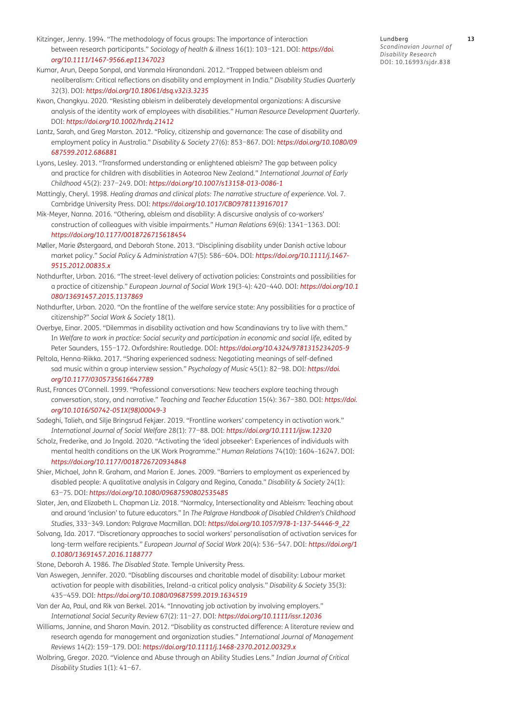- <span id="page-12-0"></span>Kitzinger, Jenny. 1994. "The methodology of focus groups: The importance of interaction between research participants." *Sociology of health & illness* 16(1): 103−121. DOI: *[https://doi.](https://doi.org/10.1111/1467-9566.ep11347023) [org/10.1111/1467-9566.ep11347023](https://doi.org/10.1111/1467-9566.ep11347023)*
- Kumar, Arun, Deepa Sonpal, and Vanmala Hiranandani. 2012. "Trapped between ableism and neoliberalism: Critical reflections on disability and employment in India." *Disability Studies Quarterly* 32(3). DOI: *<https://doi.org/10.18061/dsq.v32i3.3235>*
- Kwon, Changkyu. 2020. "Resisting ableism in deliberately developmental organizations: A discursive analysis of the identity work of employees with disabilities." *Human Resource Development Quarterly*. DOI: *<https://doi.org/10.1002/hrdq.21412>*
- Lantz, Sarah, and Greg Marston. 2012. "Policy, citizenship and governance: The case of disability and employment policy in Australia." *Disability & Society* 27(6): 853−867. DOI: *[https://doi.org/10.1080/09](https://doi.org/10.1080/09687599.2012.686881) [687599.2012.686881](https://doi.org/10.1080/09687599.2012.686881)*
- Lyons, Lesley. 2013. "Transformed understanding or enlightened ableism? The gap between policy and practice for children with disabilities in Aotearoa New Zealand." *International Journal of Early Childhood* 45(2): 237−249. DOI: *<https://doi.org/10.1007/s13158-013-0086-1>*
- Mattingly, Cheryl. 1998. *Healing dramas and clinical plots: The narrative structure of experience*. Vol. 7. Cambridge University Press. DOI: *<https://doi.org/10.1017/CBO9781139167017>*
- Mik-Meyer, Nanna. 2016. "Othering, ableism and disability: A discursive analysis of co-workers' construction of colleagues with visible impairments." *Human Relations* 69(6): 1341−1363. DOI: *<https://doi.org/10.1177/0018726715618454>*
- Møller, Marie Østergaard, and Deborah Stone. 2013. "Disciplining disability under Danish active labour market policy." *Social Policy & Administration* 47(5): 586−604. DOI: *[https://doi.org/10.1111/j.1467-](https://doi.org/10.1111/j.1467-9515.2012.00835.x) [9515.2012.00835.x](https://doi.org/10.1111/j.1467-9515.2012.00835.x)*
- Nothdurfter, Urban. 2016. "The street-level delivery of activation policies: Constraints and possibilities for a practice of citizenship." *European Journal of Social Work* 19(3-4): 420−440. DOI: *[https://doi.org/10.1](https://doi.org/10.1080/13691457.2015.1137869) [080/13691457.2015.1137869](https://doi.org/10.1080/13691457.2015.1137869)*
- Nothdurfter, Urban. 2020. "On the frontline of the welfare service state: Any possibilities for a practice of citizenship?" *Social Work & Society* 18(1).
- Overbye, Einar. 2005. "Dilemmas in disability activation and how Scandinavians try to live with them." In Welfare to work in practice: Social security and participation in economic and social life, edited by Peter Saunders, 155−172. Oxfordshire: Routledge. DOI: *<https://doi.org/10.4324/9781315234205-9>*
- Peltola, Henna-Riikka. 2017. "Sharing experienced sadness: Negotiating meanings of self-defined sad music within a group interview session." *Psychology of Music* 45(1): 82−98. DOI: *[https://doi.](https://doi.org/10.1177/0305735616647789) [org/10.1177/0305735616647789](https://doi.org/10.1177/0305735616647789)*
- Rust, Frances O'Connell. 1999. "Professional conversations: New teachers explore teaching through conversation, story, and narrative." *Teaching and Teacher Education* 15(4): 367−380. DOI: *[https://doi.](https://doi.org/10.1016/S0742-051X(98)00049-3) [org/10.1016/S0742-051X\(98\)00049-3](https://doi.org/10.1016/S0742-051X(98)00049-3)*
- Sadeghi, Talieh, and Silje Bringsrud Fekjær. 2019. "Frontline workers' competency in activation work." *International Journal of Social Welfare* 28(1): 77−88. DOI: *<https://doi.org/10.1111/ijsw.12320>*
- Scholz, Frederike, and Jo Ingold. 2020. "Activating the 'ideal jobseeker': Experiences of individuals with mental health conditions on the UK Work Programme." *Human Relations* 74(10): 1604–16247. DOI: *<https://doi.org/10.1177/0018726720934848>*
- Shier, Michael, John R. Graham, and Marion E. Jones. 2009. "Barriers to employment as experienced by disabled people: A qualitative analysis in Calgary and Regina, Canada." *Disability & Society* 24(1): 63−75. DOI: *<https://doi.org/10.1080/09687590802535485>*
- Slater, Jen, and Elizabeth L. Chapman Liz. 2018. "Normalcy, Intersectionality and Ableism: Teaching about and around 'inclusion' to future educators." In *The Palgrave Handbook of Disabled Children's Childhood Studies*, 333−349. London: Palgrave Macmillan. DOI: *[https://doi.org/10.1057/978-1-137-54446-9\\_22](https://doi.org/10.1057/978-1-137-54446-9_22)*
- Solvang, Ida. 2017. "Discretionary approaches to social workers' personalisation of activation services for long-term welfare recipients." *European Journal of Social Work* 20(4): 536−547. DOI: *[https://doi.org/1](https://doi.org/10.1080/13691457.2016.1188777) [0.1080/13691457.2016.1188777](https://doi.org/10.1080/13691457.2016.1188777)*

Stone, Deborah A. 1986. *The Disabled State*. Temple University Press.

- Van Aswegen, Jennifer. 2020. "Disabling discourses and charitable model of disability: Labour market activation for people with disabilities, Ireland–a critical policy analysis." *Disability & Society* 35(3): 435−459. DOI: *<https://doi.org/10.1080/09687599.2019.1634519>*
- Van der Aa, Paul, and Rik van Berkel. 2014. "Innovating job activation by involving employers." *International Social Security Review* 67(2): 11−27. DOI: *<https://doi.org/10.1111/issr.12036>*
- Williams, Jannine, and Sharon Mavin. 2012. "Disability as constructed difference: A literature review and research agenda for management and organization studies." *International Journal of Management Reviews* 14(2): 159−179. DOI: *<https://doi.org/10.1111/j.1468-2370.2012.00329.x>*
- Wolbring, Gregor. 2020. "Violence and Abuse through an Ability Studies Lens." *Indian Journal of Critical Disability Studies* 1(1): 41−67.